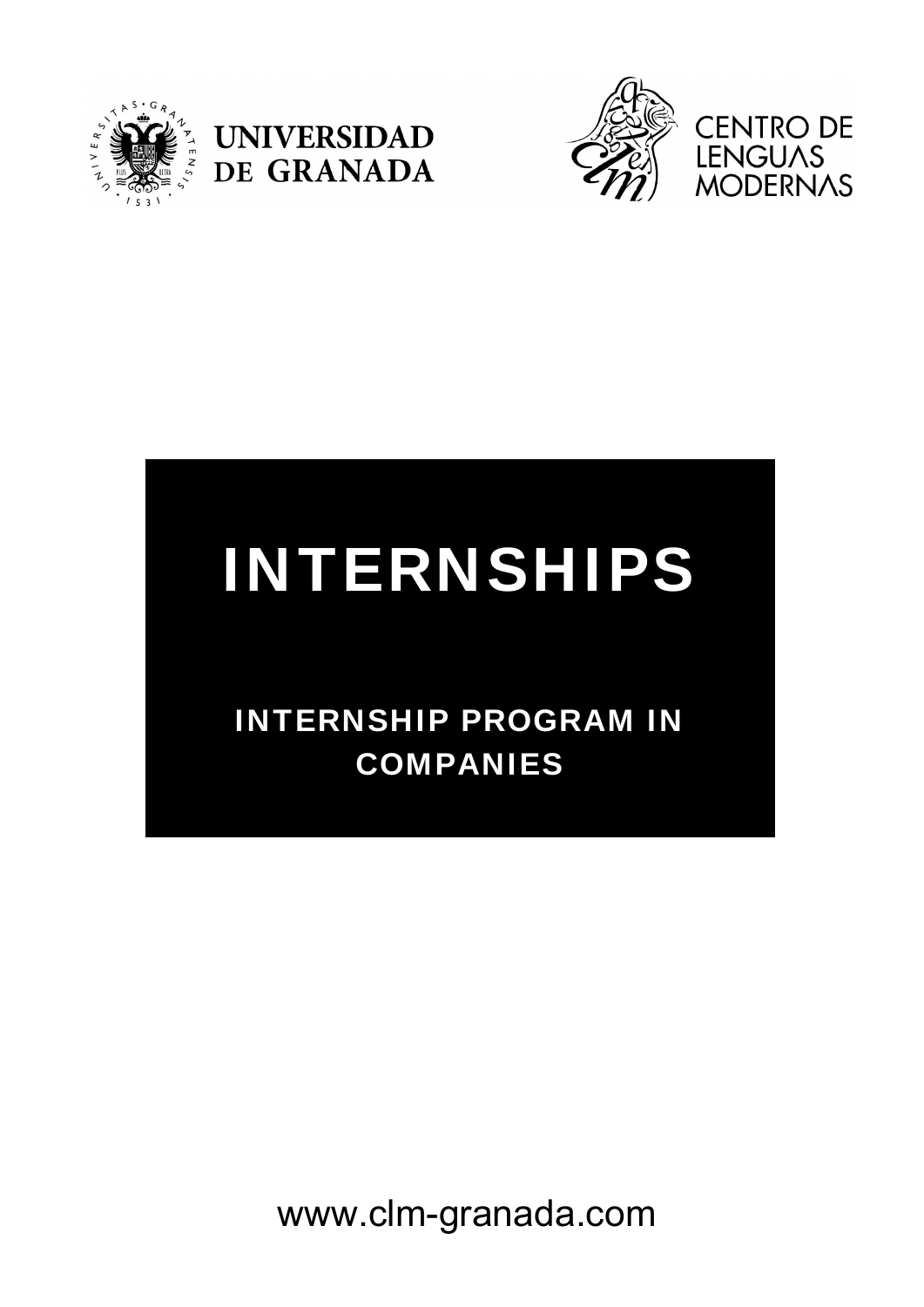





# INTERNSHIPS

## INTERNSHIP PROGRAM IN COMPANIES

www.clm-granada.com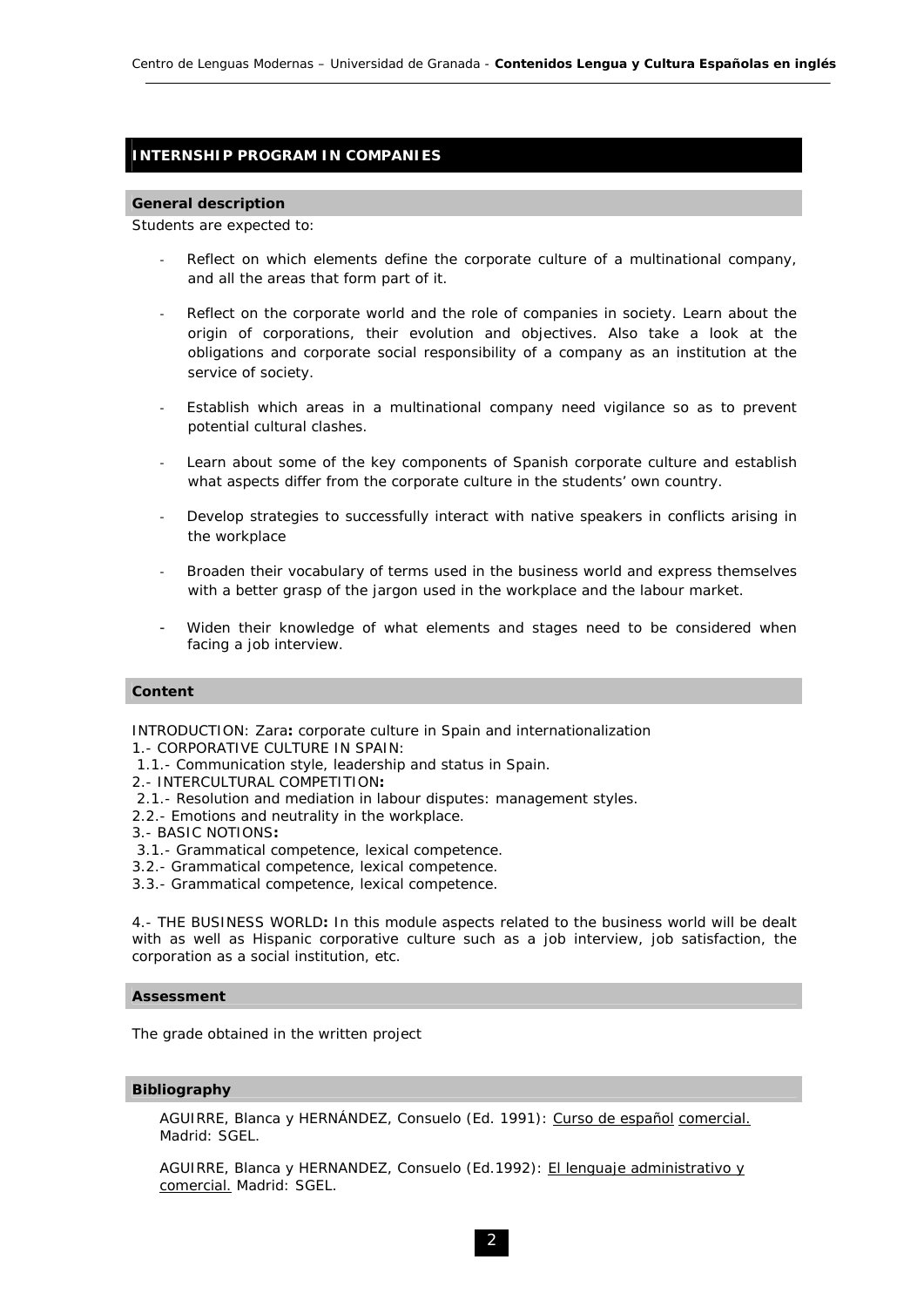### **INTERNSHIP PROGRAM IN COMPANIES**

#### **General description**

Students are expected to:

- Reflect on which elements define the corporate culture of a multinational company, and all the areas that form part of it.
- Reflect on the corporate world and the role of companies in society. Learn about the origin of corporations, their evolution and objectives. Also take a look at the obligations and corporate social responsibility of a company as an institution at the service of society.
- Establish which areas in a multinational company need vigilance so as to prevent potential cultural clashes.
- Learn about some of the key components of Spanish corporate culture and establish what aspects differ from the corporate culture in the students' own country.
- Develop strategies to successfully interact with native speakers in conflicts arising in the workplace
- Broaden their vocabulary of terms used in the business world and express themselves with a better grasp of the jargon used in the workplace and the labour market.
- Widen their knowledge of what elements and stages need to be considered when facing a job interview.

#### **Content**

INTRODUCTION: Zara**:** corporate culture in Spain and internationalization

- 1.- CORPORATIVE CULTURE IN SPAIN:
- 1.1.- Communication style, leadership and status in Spain.
- 2.- INTERCULTURAL COMPETITION**:**
- 2.1.- Resolution and mediation in labour disputes: management styles.
- 2.2.- Emotions and neutrality in the workplace.
- 3.- BASIC NOTIONS**:**
- 3.1.- Grammatical competence, lexical competence.
- 3.2.- Grammatical competence, lexical competence.
- 3.3.- Grammatical competence, lexical competence.

4.- THE BUSINESS WORLD**:** In this module aspects related to the business world will be dealt with as well as Hispanic corporative culture such as a job interview, job satisfaction, the corporation as a social institution, etc.

#### **Assessment**

The grade obtained in the written project

#### **Bibliography**

AGUIRRE, Blanca y HERNÁNDEZ, Consuelo (Ed. 1991): *Curso de español comercial.* Madrid: SGEL.

AGUIRRE, Blanca y HERNANDEZ, Consuelo (Ed.1992): *El lenguaje administrativo y comercial.* Madrid: SGEL.